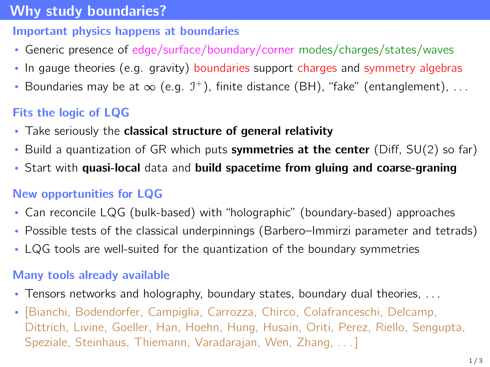## <span id="page-0-0"></span>[Why study boundaries?](#page-0-0)

#### Important physics happens at boundaries

- Generic presence of edge/surface/boundary/corner modes/charges/states/waves
- In gauge theories (e.g. gravity) boundaries support charges and symmetry algebras
- Boundaries may be at  $\infty$  (e.g.  $\mathcal{I}^+$ ), finite distance (BH), "fake" (entanglement),  $\dots$

# Fits the logic of LQG

- Take seriously the classical structure of general relativity
- Build a quantization of GR which puts symmetries at the center (Diff,  $SU(2)$  so far)
- Start with quasi-local data and build spacetime from gluing and coarse-graning

### New opportunities for LQG

- Can reconcile LQG (bulk-based) with "holographic" (boundary-based) approaches
- Possible tests of the classical underpinnings (Barbero–Immirzi parameter and tetrads)
- LQG tools are well-suited for the quantization of the boundary symmetries

### Many tools already available

- Tensors networks and holography, boundary states, boundary dual theories, . . .
- [Bianchi, Bodendorfer, Campiglia, Carrozza, Chirco, Colafranceschi, Delcamp, Dittrich, Livine, Goeller, Han, Hoehn, Hung, Husain, Oriti, Perez, Riello, Sengupta, Speziale, Steinhaus, Thiemann, Varadarajan, Wen, Zhang, . . . ]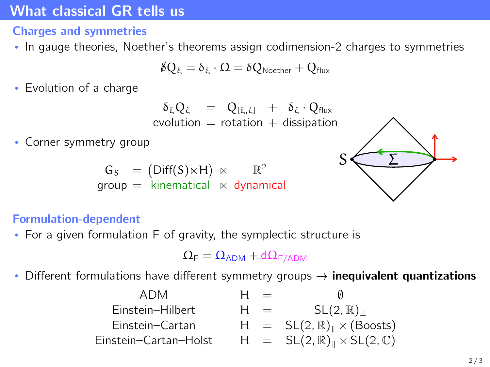## <span id="page-1-0"></span>[What classical GR tells us](#page-1-0)

### Charges and symmetries

• In gauge theories, Noether's theorems assign codimension-2 charges to symmetries

$$
\not\!\delta Q_\xi = \delta_\xi \cdot \Omega = \delta Q_\text{Noether} + Q_\text{flux}
$$

• Evolution of a charge

$$
\delta_{\xi} Q_{\zeta} = Q_{[\xi, \zeta]} + \delta_{\zeta} \cdot Q_{\text{flux}}
$$
  
evolution = rotation + dissipation

• Corner symmetry group

$$
G_S = (Diff(S) \ltimes H) \ltimes \mathbb{R}^2
$$
  
group = kinematical × dynamical



#### Formulation-dependent

• For a given formulation F of gravity, the symplectic structure is

$$
\Omega_{\text{F}}=\Omega_{\text{ADM}}+d\Omega_{\text{F/ADM}}
$$

• Different formulations have different symmetry groups  $\rightarrow$  inequivalent quantizations

| ADM                   | $=$   |                                                               |
|-----------------------|-------|---------------------------------------------------------------|
| Einstein-Hilbert      | $H =$ | $SL(2,\mathbb{R})_+$                                          |
| Einstein-Cartan       |       | $H = SL(2, \mathbb{R})_{\parallel} \times (Boost)$            |
| Einstein-Cartan-Holst |       | $H = SL(2, \mathbb{R})_{\mathbb{I}} \times SL(2, \mathbb{C})$ |